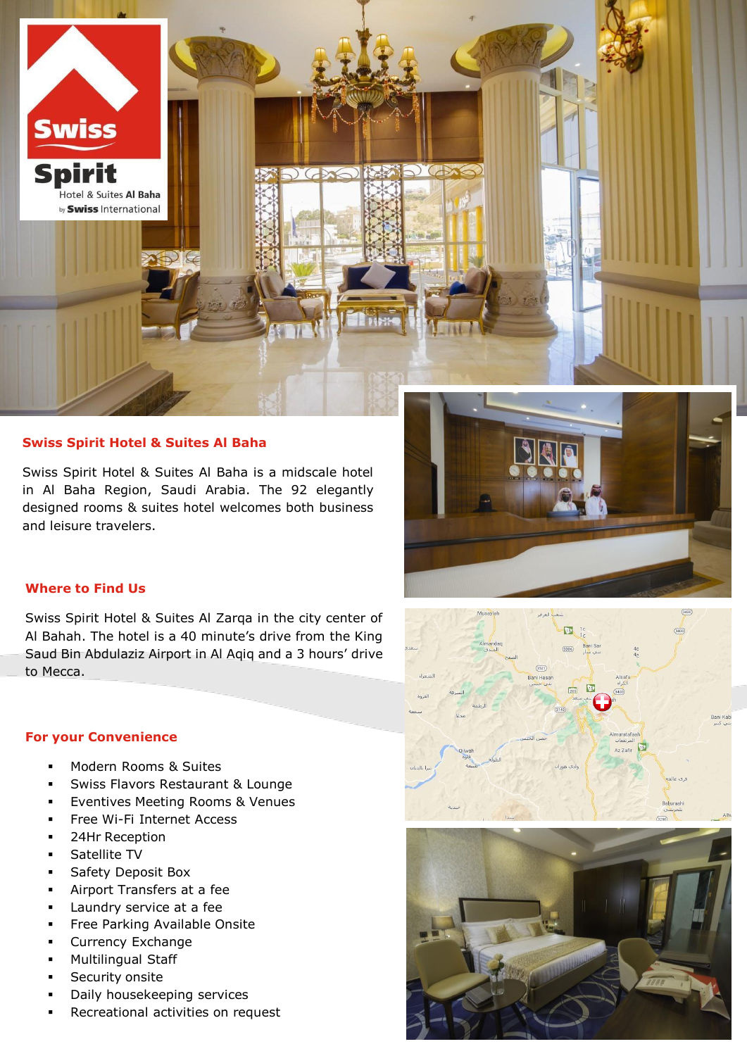

## **Swiss Spirit Hotel & Suites Al Baha**

Swiss Spirit Hotel & Suites Al Baha is a midscale hotel in Al Baha Region, Saudi Arabia. The 92 elegantly designed rooms & suites hotel welcomes both business and leisure travelers.



# **Where to Find Us**

Swiss Spirit Hotel & Suites Al Zarqa in the city center of Al Bahah. The hotel is a 40 minute's drive from the King Saud Bin Abdulaziz Airport in Al Aqiq and a 3 hours' drive to Mecca.

## **For your Convenience**

- Modern Rooms & Suites
- **Swiss Flavors Restaurant & Lounge**
- Eventives Meeting Rooms & Venues
- Free Wi-Fi Internet Access
- **24Hr Reception**
- Satellite TV
- Safety Deposit Box
- Airport Transfers at a fee
- **Laundry service at a fee**
- **Free Parking Available Onsite**
- **Currency Exchange**
- Multilingual Staff
- Security onsite
- Daily housekeeping services
- Recreational activities on request